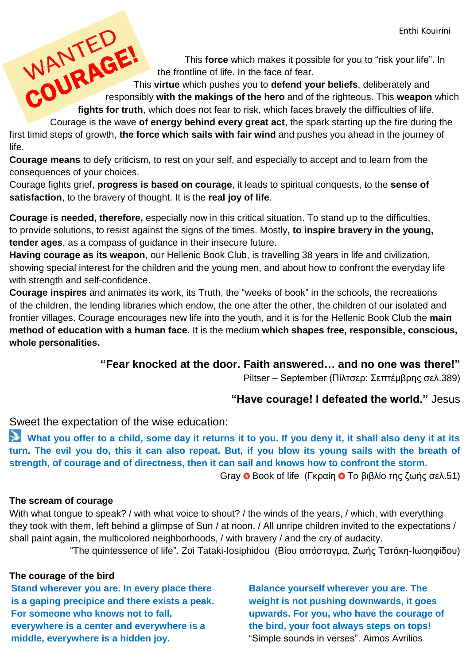This **force** which makes it possible for you to "risk your life". In the frontline of life. In the face of fear.

Enthi Ko This force which makes it possible for you to "risk your life"<br>the frontline of life. In the face of fear.<br>This virtue which pushes you to defend your beliefs, deliberately and<br>fights for responsibly **with the makings of the hero** and of the righteous. This **weapon** which **fights for truth**, which does not fear to risk, which faces bravely the difficulties of life.

Courage is the wave **of energy behind every great act**, the spark starting up the fire during the first timid steps of growth, **the force which sails with fair wind** and pushes you ahead in the journey of life.

**Courage means** to defy criticism, to rest on your self, and especially to accept and to learn from the consequences of your choices.

Courage fights grief, **progress is based on courage**, it leads to spiritual conquests, to the **sense of satisfaction**, to the bravery of thought. It is the **real joy of life**.

**Courage is needed, therefore,** especially now in this critical situation. To stand up to the difficulties, to provide solutions, to resist against the signs of the times. Mostly**, to inspire bravery in the young, tender ages**, as a compass of guidance in their insecure future.

**Having courage as its weapon**, our Hellenic Book Club, is travelling 38 years in life and civilization, showing special interest for the children and the young men, and about how to confront the everyday life with strength and self-confidence.

**Courage inspires** and animates its work, its Truth, the "weeks of book" in the schools, the recreations of the children, the lending libraries which endow, the one after the other, the children of our isolated and frontier villages. Courage encourages new life into the youth, and it is for the Hellenic Book Club the **main method of education with a human face**. It is the medium **which shapes free, responsible, conscious, whole personalities.** 

## **"Fear knocked at the door. Faith answered… and no one was there!"**

Piltser – September (Πίλτσερ: Σεπτέμβρης σελ.389)

## **"Have courage! I defeated the world."** Jesus

Sweet the expectation of the wise education:

What you offer to a child, some day it returns it to you. If you deny it, it shall also deny it at its **turn. The evil you do, this it can also repeat. But, if you blow its young sails with the breath of strength, of courage and of directness, then it can sail and knows how to confront the storm.** Gray **Θ** Book of life (Γκραίη **Θ** Το βιβλίο της ζωής σελ.51)

## **The scream of courage**

With what tongue to speak? / with what voice to shout? / the winds of the years, / which, with everything they took with them, left behind a glimpse of Sun / at noon. / All unripe children invited to the expectations / shall paint again, the multicolored neighborhoods, / with bravery / and the cry of audacity.

"The quintessence of life". Zoi Tataki-Iosiphidou (Βίου απόσταγμα, Ζωής Τατάκη-Ιωσηφίδου)

## **The courage of the bird**

**Stand wherever you are. In every place there is a gaping precipice and there exists a peak. For someone who knows not to fall, everywhere is a center and everywhere is a middle, everywhere is a hidden joy.** 

**Balance yourself wherever you are. The weight is not pushing downwards, it goes upwards. For you, who have the courage of the bird, your foot always steps on tops!** "Simple sounds in verses". Aimos Avrilios